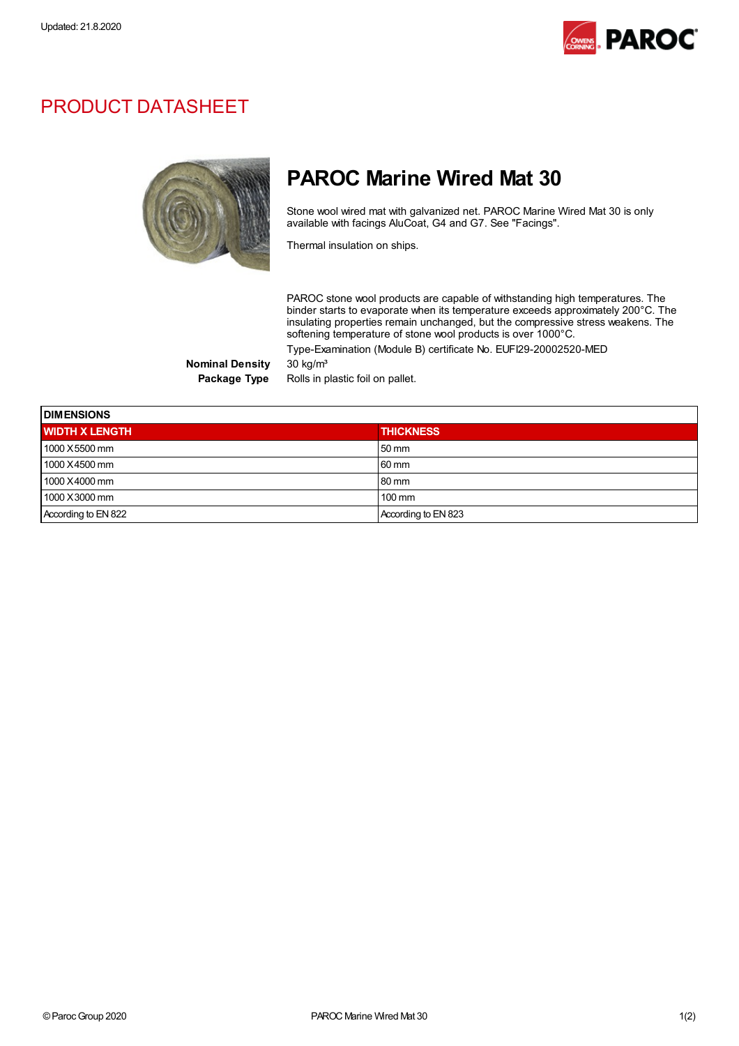

## PRODUCT DATASHEET



## PAROC Marine Wired Mat 30

Stone wool wired mat with galvanized net. PAROC Marine Wired Mat 30 is only available with facings AluCoat, G4 and G7. See "Facings".

Thermal insulation on ships.

PAROC stone wool products are capable of withstanding high temperatures. The binder starts to evaporate when its temperature exceeds approximately 200°C. The insulating properties remain unchanged, but the compressive stress weakens. The softening temperature of stone wool products is over 1000°C.

Type-Examination (Module B) certificate No. EUFI29-20002520-MED

Nominal Density 30 kg/m<sup>3</sup>

Package Type Rolls in plastic foil on pallet.

| <b>DIMENSIONS</b>     |                     |  |  |
|-----------------------|---------------------|--|--|
| <b>WIDTH X LENGTH</b> | <b>THICKNESS</b>    |  |  |
| 1000 X5500 mm         | 50 mm               |  |  |
| 1000 X4500 mm         | 60 mm               |  |  |
| 1000 X4000 mm         | 80 mm               |  |  |
| 1000 X3000 mm         | $100 \text{ mm}$    |  |  |
| According to EN 822   | According to EN 823 |  |  |